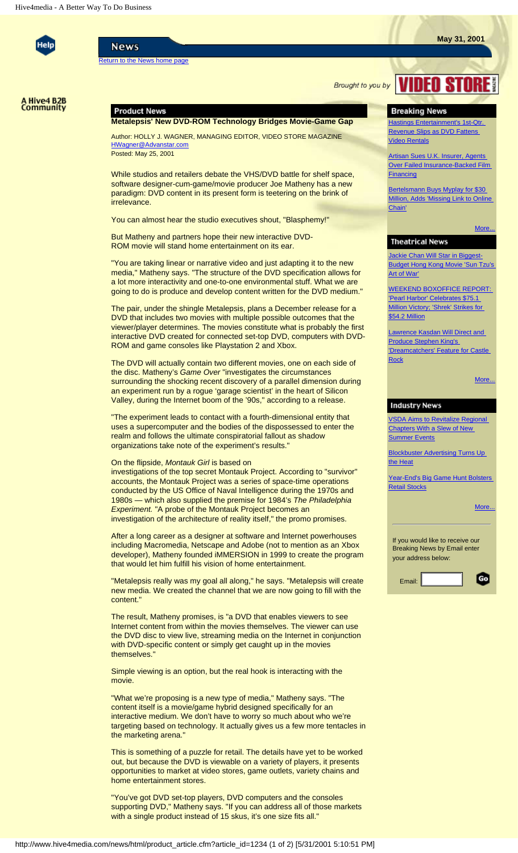

**News** 

[Return to the News home page](http://www.hive4media.com/news/html/news_content.cfm?sec_id=2)

**Brought to you by VIDEO STOR** 



# **Product News**

**Metalepsis' New DVD-ROM Technology Bridges Movie-Game Gap**

Author: HOLLY J. WAGNER, MANAGING EDITOR, VIDEO STORE MAGAZINE [HWagner@Advanstar.com](mailto:HWagner@Advanstar.com) Posted: May 25, 2001

While studios and retailers debate the VHS/DVD battle for shelf space, software designer-cum-game/movie producer Joe Matheny has a new paradigm: DVD content in its present form is teetering on the brink of irrelevance.

You can almost hear the studio executives shout, "Blasphemy!"

But Matheny and partners hope their new interactive DVD-ROM movie will stand home entertainment on its ear.

"You are taking linear or narrative video and just adapting it to the new media," Matheny says. "The structure of the DVD specification allows for a lot more interactivity and one-to-one environmental stuff. What we are going to do is produce and develop content written for the DVD medium."

The pair, under the shingle Metalepsis, plans a December release for a DVD that includes two movies with multiple possible outcomes that the viewer/player determines. The movies constitute what is probably the first interactive DVD created for connected set-top DVD, computers with DVD-ROM and game consoles like Playstation 2 and Xbox.

The DVD will actually contain two different movies, one on each side of the disc. Matheny's *Game Over* "investigates the circumstances surrounding the shocking recent discovery of a parallel dimension during an experiment run by a rogue 'garage scientist' in the heart of Silicon Valley, during the Internet boom of the '90s," according to a release.

"The experiment leads to contact with a fourth-dimensional entity that uses a supercomputer and the bodies of the dispossessed to enter the realm and follows the ultimate conspiratorial fallout as shadow organizations take note of the experiment's results."

### On the flipside, *Montauk Girl* is based on

investigations of the top secret Montauk Project. According to "survivor" accounts, the Montauk Project was a series of space-time operations conducted by the US Office of Naval Intelligence during the 1970s and 1980s — which also supplied the premise for 1984's *The Philadelphia Experiment.* "A probe of the Montauk Project becomes an investigation of the architecture of reality itself," the promo promises.

After a long career as a designer at software and Internet powerhouses including Macromedia, Netscape and Adobe (not to mention as an Xbox developer), Matheny founded iMMERSION in 1999 to create the program that would let him fulfill his vision of home entertainment.

"Metalepsis really was my goal all along," he says. "Metalepsis will create new media. We created the channel that we are now going to fill with the content."

The result, Matheny promises, is "a DVD that enables viewers to see Internet content from within the movies themselves. The viewer can use the DVD disc to view live, streaming media on the Internet in conjunction with DVD-specific content or simply get caught up in the movies themselves."

Simple viewing is an option, but the real hook is interacting with the movie.

"What we're proposing is a new type of media," Matheny says. "The content itself is a movie/game hybrid designed specifically for an interactive medium. We don't have to worry so much about who we're targeting based on technology. It actually gives us a few more tentacles in the marketing arena."

This is something of a puzzle for retail. The details have yet to be worked out, but because the DVD is viewable on a variety of players, it presents opportunities to market at video stores, game outlets, variety chains and home entertainment stores.

"You've got DVD set-top players, DVD computers and the consoles supporting DVD," Matheny says. "If you can address all of those markets with a single product instead of 15 skus, it's one size fits all."

## **Breaking News**

**Hastings Entertainment's 1st-Qtr.** [Revenue Slips as DVD Fattens](http://www.hive4media.com/news/html/breaking_article.cfm?article_id=1246)  [Video Rentals](http://www.hive4media.com/news/html/breaking_article.cfm?article_id=1246)

[Artisan Sues U.K. Insurer, Agents](http://www.hive4media.com/news/html/breaking_article.cfm?article_id=1244)  [Over Failed Insurance-Backed Film](http://www.hive4media.com/news/html/breaking_article.cfm?article_id=1244) **[Financing](http://www.hive4media.com/news/html/breaking_article.cfm?article_id=1244)** 

[Bertelsmann Buys Myplay for \\$30](http://www.hive4media.com/news/html/breaking_article.cfm?article_id=1242)  [Million, Adds 'Missing Link to Online](http://www.hive4media.com/news/html/breaking_article.cfm?article_id=1242) [Chain'](http://www.hive4media.com/news/html/breaking_article.cfm?article_id=1242)

#### More.

### **Theatrical News**

**[Jackie Chan Will Star in Biggest-](http://www.hive4media.com/news/html/theatrical_article.cfm?article_id=1241)**[Budget Hong Kong Movie 'Sun Tzu's](http://www.hive4media.com/news/html/theatrical_article.cfm?article_id=1241) [Art of War'](http://www.hive4media.com/news/html/theatrical_article.cfm?article_id=1241)

[WEEKEND BOXOFFICE REPORT:](http://www.hive4media.com/news/html/theatrical_article.cfm?article_id=1236)  ['Pearl Harbor' Celebrates \\$75.1](http://www.hive4media.com/news/html/theatrical_article.cfm?article_id=1236) [Million Victory; 'Shrek' Strikes for](http://www.hive4media.com/news/html/theatrical_article.cfm?article_id=1236) [\\$54.2 Million](http://www.hive4media.com/news/html/theatrical_article.cfm?article_id=1236)

[Lawrence Kasdan Will Direct and](http://www.hive4media.com/news/html/theatrical_article.cfm?article_id=1199) **[Produce Stephen King's](http://www.hive4media.com/news/html/theatrical_article.cfm?article_id=1199)** ['Dreamcatchers' Feature for Castle](http://www.hive4media.com/news/html/theatrical_article.cfm?article_id=1199)  **[Rock](http://www.hive4media.com/news/html/theatrical_article.cfm?article_id=1199)** 

More..

### **Industry News**

[VSDA Aims to Revitalize Regional](http://www.hive4media.com/news/html/industry_article.cfm?article_id=1231)  [Chapters With a Slew of New](http://www.hive4media.com/news/html/industry_article.cfm?article_id=1231)  [Summer Events](http://www.hive4media.com/news/html/industry_article.cfm?article_id=1231)

**[Blockbuster Advertising Turns Up](http://www.hive4media.com/news/html/industry_article.cfm?article_id=1232)** [the Heat](http://www.hive4media.com/news/html/industry_article.cfm?article_id=1232)

[Year-End's Big Game Hunt Bolsters](http://www.hive4media.com/news/html/industry_article.cfm?article_id=1230) [Retail Stocks](http://www.hive4media.com/news/html/industry_article.cfm?article_id=1230)

More.

If you would like to receive our Breaking News by Email enter your address below:

| Email: |  |
|--------|--|
|        |  |